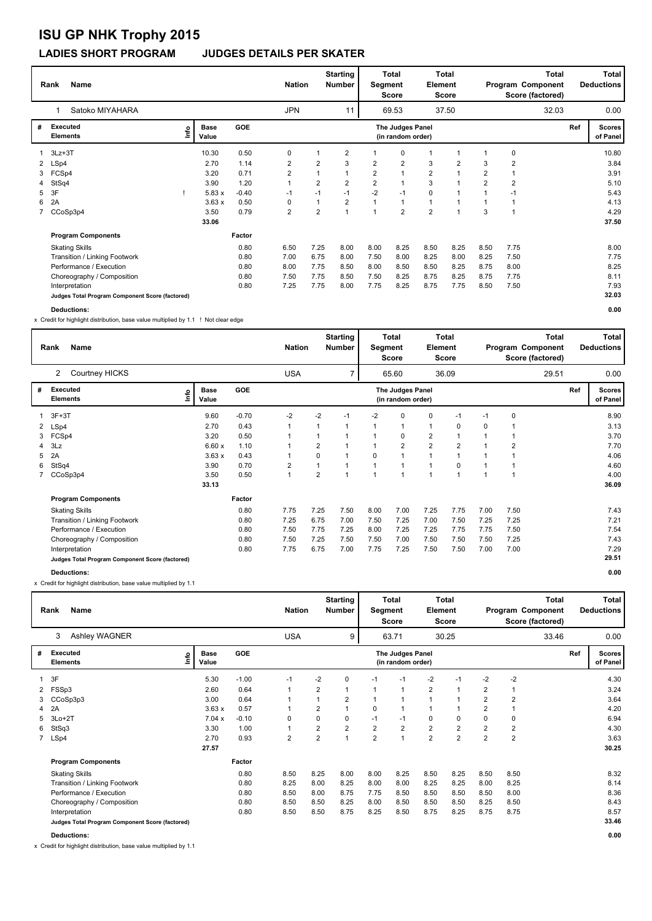### **LADIES SHORT PROGRAM JUDGES DETAILS PER SKATER**

|   | <b>Name</b><br>Rank<br>Satoko MIYAHARA          |      |                      |         | <b>Nation</b>           |                | <b>Starting</b><br><b>Number</b> | Segment        | <b>Total</b><br><b>Score</b>          | Element        | <b>Total</b><br>Score |                |                | <b>Total</b><br>Program Component<br>Score (factored) |     | <b>Total</b><br><b>Deductions</b> |
|---|-------------------------------------------------|------|----------------------|---------|-------------------------|----------------|----------------------------------|----------------|---------------------------------------|----------------|-----------------------|----------------|----------------|-------------------------------------------------------|-----|-----------------------------------|
|   |                                                 |      |                      |         | <b>JPN</b>              |                | 11                               |                | 69.53                                 |                | 37.50                 |                |                | 32.03                                                 |     | 0.00                              |
| # | Executed<br><b>Elements</b>                     | lnfo | <b>Base</b><br>Value | GOE     |                         |                |                                  |                | The Judges Panel<br>(in random order) |                |                       |                |                |                                                       | Ref | <b>Scores</b><br>of Panel         |
|   | $3Lz + 3T$                                      |      | 10.30                | 0.50    | 0                       |                | 2                                |                | 0                                     | 1              |                       |                | 0              |                                                       |     | 10.80                             |
|   | 2 LSp4                                          |      | 2.70                 | 1.14    | 2                       | $\overline{2}$ | 3                                | $\overline{2}$ | $\overline{2}$                        | 3              | $\overline{2}$        | 3              | $\overline{2}$ |                                                       |     | 3.84                              |
| 3 | FCSp4                                           |      | 3.20                 | 0.71    | $\overline{\mathbf{c}}$ |                | $\mathbf{1}$                     | $\overline{2}$ | $\mathbf{1}$                          | $\overline{2}$ | 1                     | $\overline{2}$ | $\overline{1}$ |                                                       |     | 3.91                              |
|   | 4 StSq4                                         |      | 3.90                 | 1.20    | 1                       | $\overline{2}$ | $\overline{2}$                   | $\overline{2}$ | $\mathbf{1}$                          | 3              |                       | $\overline{2}$ | $\overline{2}$ |                                                       |     | 5.10                              |
| 5 | 3F                                              |      | 5.83x                | $-0.40$ | $-1$                    | $-1$           | $-1$                             | $-2$           | $-1$                                  | $\mathbf 0$    |                       |                | -1             |                                                       |     | 5.43                              |
| 6 | 2A                                              |      | 3.63x                | 0.50    | 0                       |                | $\overline{2}$                   |                | $\mathbf{1}$                          | $\mathbf{1}$   |                       |                |                |                                                       |     | 4.13                              |
|   | CCoSp3p4                                        |      | 3.50                 | 0.79    | $\overline{\mathbf{c}}$ | $\overline{2}$ | 1                                |                | $\overline{2}$                        | $\overline{2}$ |                       | 3              |                |                                                       |     | 4.29                              |
|   |                                                 |      | 33.06                |         |                         |                |                                  |                |                                       |                |                       |                |                |                                                       |     | 37.50                             |
|   | <b>Program Components</b>                       |      |                      | Factor  |                         |                |                                  |                |                                       |                |                       |                |                |                                                       |     |                                   |
|   | <b>Skating Skills</b>                           |      |                      | 0.80    | 6.50                    | 7.25           | 8.00                             | 8.00           | 8.25                                  | 8.50           | 8.25                  | 8.50           | 7.75           |                                                       |     | 8.00                              |
|   | Transition / Linking Footwork                   |      |                      | 0.80    | 7.00                    | 6.75           | 8.00                             | 7.50           | 8.00                                  | 8.25           | 8.00                  | 8.25           | 7.50           |                                                       |     | 7.75                              |
|   | Performance / Execution                         |      |                      | 0.80    | 8.00                    | 7.75           | 8.50                             | 8.00           | 8.50                                  | 8.50           | 8.25                  | 8.75           | 8.00           |                                                       |     | 8.25                              |
|   | Choreography / Composition                      |      |                      | 0.80    | 7.50                    | 7.75           | 8.50                             | 7.50           | 8.25                                  | 8.75           | 8.25                  | 8.75           | 7.75           |                                                       |     | 8.11                              |
|   | Interpretation                                  |      |                      | 0.80    | 7.25                    | 7.75           | 8.00                             | 7.75           | 8.25                                  | 8.75           | 7.75                  | 8.50           | 7.50           |                                                       |     | 7.93                              |
|   | Judges Total Program Component Score (factored) |      |                      |         |                         |                |                                  |                |                                       |                |                       |                |                |                                                       |     | 32.03                             |

**Deductions: 0.00**

x Credit for highlight distribution, base value multiplied by 1.1 ! Not clear edge

|                      | <b>Name</b><br>Rank                             |                      |            | <b>Nation</b> |                | <b>Starting</b><br><b>Number</b> | Segment  | Total<br>Score                        | Element        | Total<br>Score |      |      | Total<br>Program Component<br>Score (factored) |     | Total<br><b>Deductions</b> |
|----------------------|-------------------------------------------------|----------------------|------------|---------------|----------------|----------------------------------|----------|---------------------------------------|----------------|----------------|------|------|------------------------------------------------|-----|----------------------------|
|                      | Courtney HICKS<br>2                             |                      |            | <b>USA</b>    |                | $\overline{7}$                   |          | 65.60                                 |                | 36.09          |      |      | 29.51                                          |     | 0.00                       |
| #                    | <b>Executed</b><br>١nfo<br><b>Elements</b>      | <b>Base</b><br>Value | <b>GOE</b> |               |                |                                  |          | The Judges Panel<br>(in random order) |                |                |      |      |                                                | Ref | <b>Scores</b><br>of Panel  |
|                      | $3F+3T$                                         | 9.60                 | $-0.70$    | $-2$          | $-2$           | $-1$                             | $-2$     | 0                                     | 0              | $-1$           | $-1$ | 0    |                                                |     | 8.90                       |
| $\mathbf{2}^{\circ}$ | LSp4                                            | 2.70                 | 0.43       |               |                |                                  |          |                                       | $\mathbf{1}$   | 0              | 0    |      |                                                |     | 3.13                       |
| 3                    | FCSp4                                           | 3.20                 | 0.50       |               |                |                                  |          | 0                                     | $\overline{2}$ |                |      |      |                                                |     | 3.70                       |
| 4                    | 3Lz                                             | 6.60x                | 1.10       |               | $\overline{2}$ |                                  |          | $\overline{\mathbf{c}}$               | 2              | $\overline{2}$ |      | 2    |                                                |     | 7.70                       |
| 5                    | 2A                                              | 3.63x                | 0.43       |               | 0              | 1                                | $\Omega$ |                                       |                |                |      |      |                                                |     | 4.06                       |
| 6                    | StSq4                                           | 3.90                 | 0.70       | 2             | 1              |                                  |          |                                       |                | 0              |      |      |                                                |     | 4.60                       |
|                      | CCoSp3p4                                        | 3.50                 | 0.50       | $\mathbf{1}$  | $\overline{2}$ | $\overline{ }$                   | 1        | и                                     | 1              |                |      |      |                                                |     | 4.00                       |
|                      |                                                 | 33.13                |            |               |                |                                  |          |                                       |                |                |      |      |                                                |     | 36.09                      |
|                      | <b>Program Components</b>                       |                      | Factor     |               |                |                                  |          |                                       |                |                |      |      |                                                |     |                            |
|                      | <b>Skating Skills</b>                           |                      | 0.80       | 7.75          | 7.25           | 7.50                             | 8.00     | 7.00                                  | 7.25           | 7.75           | 7.00 | 7.50 |                                                |     | 7.43                       |
|                      | Transition / Linking Footwork                   |                      | 0.80       | 7.25          | 6.75           | 7.00                             | 7.50     | 7.25                                  | 7.00           | 7.50           | 7.25 | 7.25 |                                                |     | 7.21                       |
|                      | Performance / Execution                         |                      | 0.80       | 7.50          | 7.75           | 7.25                             | 8.00     | 7.25                                  | 7.25           | 7.75           | 7.75 | 7.50 |                                                |     | 7.54                       |
|                      | Choreography / Composition                      |                      | 0.80       | 7.50          | 7.25           | 7.50                             | 7.50     | 7.00                                  | 7.50           | 7.50           | 7.50 | 7.25 |                                                |     | 7.43                       |
|                      | Interpretation                                  |                      | 0.80       | 7.75          | 6.75           | 7.00                             | 7.75     | 7.25                                  | 7.50           | 7.50           | 7.00 | 7.00 |                                                |     | 7.29                       |
|                      | Judges Total Program Component Score (factored) |                      |            |               |                |                                  |          |                                       |                |                |      |      |                                                |     | 29.51                      |
|                      | <b>Deductions:</b>                              |                      |            |               |                |                                  |          |                                       |                |                |      |      |                                                |     | 0.00                       |

x Credit for highlight distribution, base value multiplied by 1.1

|   | Name<br>Rank                                    |                              |         | <b>Nation</b>  |                | <b>Starting</b><br><b>Number</b> | Segment        | <b>Total</b><br>Score                 | Element        | Total<br>Score |                |                | Total<br>Program Component<br>Score (factored) |     | Total<br><b>Deductions</b> |
|---|-------------------------------------------------|------------------------------|---------|----------------|----------------|----------------------------------|----------------|---------------------------------------|----------------|----------------|----------------|----------------|------------------------------------------------|-----|----------------------------|
|   | <b>Ashley WAGNER</b><br>3                       |                              |         | <b>USA</b>     |                | 9                                |                | 63.71                                 |                | 30.25          |                |                | 33.46                                          |     | 0.00                       |
| # | <b>Executed</b><br><b>Elements</b>              | <b>Base</b><br>١nf٥<br>Value | GOE     |                |                |                                  |                | The Judges Panel<br>(in random order) |                |                |                |                |                                                | Ref | <b>Scores</b><br>of Panel  |
|   | 3F                                              | 5.30                         | $-1.00$ | $-1$           | $-2$           | 0                                | $-1$           | $-1$                                  | $-2$           | $-1$           | $-2$           | $-2$           |                                                |     | 4.30                       |
| 2 | FSSp3                                           | 2.60                         | 0.64    | 1              | 2              |                                  | $\mathbf{1}$   | 1                                     | $\overline{2}$ |                | $\overline{2}$ |                |                                                |     | 3.24                       |
| 3 | CCoSp3p3                                        | 3.00                         | 0.64    |                |                | 2                                |                |                                       |                |                | $\overline{2}$ | $\overline{2}$ |                                                |     | 3.64                       |
| 4 | 2A                                              | 3.63x                        | 0.57    |                | $\overline{2}$ |                                  | 0              | 1                                     |                |                | $\overline{2}$ |                |                                                |     | 4.20                       |
| 5 | $3Lo+2T$                                        | 7.04 x                       | $-0.10$ | 0              | 0              | 0                                | $-1$           | $-1$                                  | 0              | 0              | 0              | 0              |                                                |     | 6.94                       |
| 6 | StSq3                                           | 3.30                         | 1.00    |                | 2              | $\overline{2}$                   | $\overline{2}$ | $\overline{2}$                        | $\mathbf 2$    | 2              | $\overline{2}$ | $\overline{2}$ |                                                |     | 4.30                       |
|   | 7 LSp4                                          | 2.70                         | 0.93    | $\overline{2}$ | $\overline{2}$ | $\overline{1}$                   | $\overline{2}$ | $\overline{1}$                        | $\overline{2}$ | $\overline{2}$ | $\overline{2}$ | $\overline{2}$ |                                                |     | 3.63                       |
|   |                                                 | 27.57                        |         |                |                |                                  |                |                                       |                |                |                |                |                                                |     | 30.25                      |
|   | <b>Program Components</b>                       |                              | Factor  |                |                |                                  |                |                                       |                |                |                |                |                                                |     |                            |
|   | <b>Skating Skills</b>                           |                              | 0.80    | 8.50           | 8.25           | 8.00                             | 8.00           | 8.25                                  | 8.50           | 8.25           | 8.50           | 8.50           |                                                |     | 8.32                       |
|   | Transition / Linking Footwork                   |                              | 0.80    | 8.25           | 8.00           | 8.25                             | 8.00           | 8.00                                  | 8.25           | 8.25           | 8.00           | 8.25           |                                                |     | 8.14                       |
|   | Performance / Execution                         |                              | 0.80    | 8.50           | 8.00           | 8.75                             | 7.75           | 8.50                                  | 8.50           | 8.50           | 8.50           | 8.00           |                                                |     | 8.36                       |
|   | Choreography / Composition                      |                              | 0.80    | 8.50           | 8.50           | 8.25                             | 8.00           | 8.50                                  | 8.50           | 8.50           | 8.25           | 8.50           |                                                |     | 8.43                       |
|   | Interpretation                                  |                              | 0.80    | 8.50           | 8.50           | 8.75                             | 8.25           | 8.50                                  | 8.75           | 8.25           | 8.75           | 8.75           |                                                |     | 8.57                       |
|   | Judges Total Program Component Score (factored) |                              |         |                |                |                                  |                |                                       |                |                |                |                |                                                |     | 33.46                      |
|   | Deductions:                                     |                              |         |                |                |                                  |                |                                       |                |                |                |                |                                                |     | 0.00                       |

x Credit for highlight distribution, base value multiplied by 1.1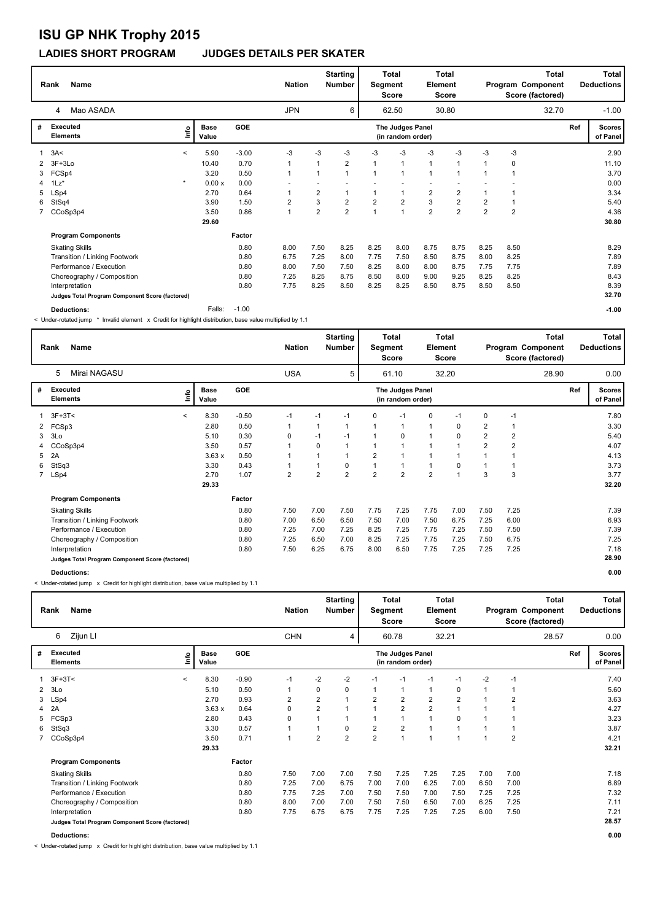#### **LADIES SHORT PROGRAM JUDGES DETAILS PER SKATER**

|   | Name<br>Rank                                    |         |                      |         | <b>Nation</b>           |                | <b>Starting</b><br><b>Number</b> | Segment        | Total<br>Score                        | Element        | Total<br>Score |                |                | Total<br>Program Component<br>Score (factored) |     | Total<br><b>Deductions</b> |
|---|-------------------------------------------------|---------|----------------------|---------|-------------------------|----------------|----------------------------------|----------------|---------------------------------------|----------------|----------------|----------------|----------------|------------------------------------------------|-----|----------------------------|
|   | Mao ASADA<br>4                                  |         |                      |         | <b>JPN</b>              |                | 6                                |                | 62.50                                 |                | 30.80          |                |                | 32.70                                          |     | $-1.00$                    |
| # | <b>Executed</b><br><b>Elements</b>              | ١n      | <b>Base</b><br>Value | GOE     |                         |                |                                  |                | The Judges Panel<br>(in random order) |                |                |                |                |                                                | Ref | <b>Scores</b><br>of Panel  |
|   | 3A<                                             | $\prec$ | 5.90                 | $-3.00$ | -3                      | -3             | -3                               | -3             | -3                                    | -3             | -3             | -3             | -3             |                                                |     | 2.90                       |
|   | $3F+3Lo$                                        |         | 10.40                | 0.70    |                         | 1              | $\overline{2}$                   | $\mathbf 1$    | $\overline{1}$                        | $\overline{1}$ | 1              |                | 0              |                                                |     | 11.10                      |
| 3 | FCSp4                                           |         | 3.20                 | 0.50    |                         |                | $\mathbf{1}$                     |                |                                       | $\overline{1}$ | $\overline{1}$ |                |                |                                                |     | 3.70                       |
| 4 | $1\text{Lz}^*$                                  | $\star$ | 0.00x                | 0.00    |                         |                |                                  |                |                                       |                |                |                |                |                                                |     | 0.00                       |
| 5 | LSp4                                            |         | 2.70                 | 0.64    |                         | 2              | $\mathbf 1$                      | 1              |                                       | $\overline{2}$ | 2              |                |                |                                                |     | 3.34                       |
| 6 | StSq4                                           |         | 3.90                 | 1.50    | $\overline{\mathbf{c}}$ | 3              | $\overline{2}$                   | $\overline{2}$ | $\overline{2}$                        | $\mathbf{3}$   | $\overline{2}$ | $\overline{2}$ |                |                                                |     | 5.40                       |
|   | CCoSp3p4                                        |         | 3.50                 | 0.86    | $\overline{A}$          | $\overline{2}$ | $\overline{2}$                   | $\overline{1}$ | $\overline{1}$                        | $\overline{2}$ | $\overline{2}$ | $\overline{2}$ | $\overline{2}$ |                                                |     | 4.36                       |
|   |                                                 |         | 29.60                |         |                         |                |                                  |                |                                       |                |                |                |                |                                                |     | 30.80                      |
|   | <b>Program Components</b>                       |         |                      | Factor  |                         |                |                                  |                |                                       |                |                |                |                |                                                |     |                            |
|   | <b>Skating Skills</b>                           |         |                      | 0.80    | 8.00                    | 7.50           | 8.25                             | 8.25           | 8.00                                  | 8.75           | 8.75           | 8.25           | 8.50           |                                                |     | 8.29                       |
|   | Transition / Linking Footwork                   |         |                      | 0.80    | 6.75                    | 7.25           | 8.00                             | 7.75           | 7.50                                  | 8.50           | 8.75           | 8.00           | 8.25           |                                                |     | 7.89                       |
|   | Performance / Execution                         |         |                      | 0.80    | 8.00                    | 7.50           | 7.50                             | 8.25           | 8.00                                  | 8.00           | 8.75           | 7.75           | 7.75           |                                                |     | 7.89                       |
|   | Choreography / Composition                      |         |                      | 0.80    | 7.25                    | 8.25           | 8.75                             | 8.50           | 8.00                                  | 9.00           | 9.25           | 8.25           | 8.25           |                                                |     | 8.43                       |
|   | Interpretation                                  |         |                      | 0.80    | 7.75                    | 8.25           | 8.50                             | 8.25           | 8.25                                  | 8.50           | 8.75           | 8.50           | 8.50           |                                                |     | 8.39                       |
|   | Judges Total Program Component Score (factored) |         |                      |         |                         |                |                                  |                |                                       |                |                |                |                |                                                |     | 32.70                      |
|   | Deductions:                                     |         | Falls:               | $-1.00$ |                         |                |                                  |                |                                       |                |                |                |                |                                                |     | $-1.00$                    |

< Under-rotated jump \* Invalid element x Credit for highlight distribution, base value multiplied by 1.1

|   | <b>Name</b><br>Rank                             |         |               |         | <b>Nation</b>  |                | <b>Starting</b><br><b>Number</b> | Segment        | Total<br><b>Score</b>                 | Element        | Total<br>Score |                |      | Total<br>Program Component<br>Score (factored) |     | <b>Total</b><br><b>Deductions</b> |
|---|-------------------------------------------------|---------|---------------|---------|----------------|----------------|----------------------------------|----------------|---------------------------------------|----------------|----------------|----------------|------|------------------------------------------------|-----|-----------------------------------|
|   | Mirai NAGASU<br>5                               |         |               |         | <b>USA</b>     |                | 5                                |                | 61.10                                 |                | 32.20          |                |      | 28.90                                          |     | 0.00                              |
| # | Executed<br><b>Elements</b>                     | ۴۵      | Base<br>Value | GOE     |                |                |                                  |                | The Judges Panel<br>(in random order) |                |                |                |      |                                                | Ref | <b>Scores</b><br>of Panel         |
|   | $3F+3T<$                                        | $\prec$ | 8.30          | $-0.50$ | $-1$           | $-1$           | $-1$                             | $\Omega$       | $-1$                                  | 0              | $-1$           | 0              | $-1$ |                                                |     | 7.80                              |
|   | 2 FCSp3                                         |         | 2.80          | 0.50    |                | 1              | -1                               |                | 1                                     | 1              | 0              | 2              |      |                                                |     | 3.30                              |
| 3 | 3Lo                                             |         | 5.10          | 0.30    | 0              | $-1$           | $-1$                             |                | 0                                     | 1              | $\Omega$       | $\overline{2}$ | 2    |                                                |     | 5.40                              |
|   | CCoSp3p4                                        |         | 3.50          | 0.57    |                | 0              | 1                                |                | -1                                    |                |                | $\overline{2}$ | 2    |                                                |     | 4.07                              |
| 5 | 2A                                              |         | 3.63x         | 0.50    |                | 1              | $\mathbf{1}$                     | $\overline{2}$ | 1                                     |                |                |                |      |                                                |     | 4.13                              |
| 6 | StSq3                                           |         | 3.30          | 0.43    |                | $\mathbf{1}$   | 0                                |                | 1                                     | 1              | $\Omega$       |                |      |                                                |     | 3.73                              |
|   | 7 LSp4                                          |         | 2.70          | 1.07    | $\overline{2}$ | $\overline{2}$ | $\overline{2}$                   | $\overline{2}$ | $\overline{2}$                        | $\overline{2}$ | 1              | 3              | 3    |                                                |     | 3.77                              |
|   |                                                 |         | 29.33         |         |                |                |                                  |                |                                       |                |                |                |      |                                                |     | 32.20                             |
|   | <b>Program Components</b>                       |         |               | Factor  |                |                |                                  |                |                                       |                |                |                |      |                                                |     |                                   |
|   | <b>Skating Skills</b>                           |         |               | 0.80    | 7.50           | 7.00           | 7.50                             | 7.75           | 7.25                                  | 7.75           | 7.00           | 7.50           | 7.25 |                                                |     | 7.39                              |
|   | Transition / Linking Footwork                   |         |               | 0.80    | 7.00           | 6.50           | 6.50                             | 7.50           | 7.00                                  | 7.50           | 6.75           | 7.25           | 6.00 |                                                |     | 6.93                              |
|   | Performance / Execution                         |         |               | 0.80    | 7.25           | 7.00           | 7.25                             | 8.25           | 7.25                                  | 7.75           | 7.25           | 7.50           | 7.50 |                                                |     | 7.39                              |
|   | Choreography / Composition                      |         |               | 0.80    | 7.25           | 6.50           | 7.00                             | 8.25           | 7.25                                  | 7.75           | 7.25           | 7.50           | 6.75 |                                                |     | 7.25                              |
|   | Interpretation                                  |         |               | 0.80    | 7.50           | 6.25           | 6.75                             | 8.00           | 6.50                                  | 7.75           | 7.25           | 7.25           | 7.25 |                                                |     | 7.18                              |
|   | Judges Total Program Component Score (factored) |         |               |         |                |                |                                  |                |                                       |                |                |                |      |                                                |     | 28.90                             |
|   | <b>Deductions:</b>                              |         |               |         |                |                |                                  |                |                                       |                |                |                |      |                                                |     | 0.00                              |

< Under-rotated jump x Credit for highlight distribution, base value multiplied by 1.1

|   | <b>Name</b><br>Rank                             |         |                      |         |                | <b>Nation</b>  | <b>Starting</b><br><b>Number</b> |                | <b>Total</b><br>Segment<br>Score      | Element        | Total<br>Score |                |                | <b>Total</b><br>Program Component<br>Score (factored) |     | Total<br><b>Deductions</b> |
|---|-------------------------------------------------|---------|----------------------|---------|----------------|----------------|----------------------------------|----------------|---------------------------------------|----------------|----------------|----------------|----------------|-------------------------------------------------------|-----|----------------------------|
|   | Zijun LI<br>6                                   |         |                      |         | <b>CHN</b>     |                | 4                                |                | 60.78                                 |                | 32.21          |                |                | 28.57                                                 |     | 0.00                       |
| # | <b>Executed</b><br><b>Elements</b>              | Lnfo    | <b>Base</b><br>Value | GOE     |                |                |                                  |                | The Judges Panel<br>(in random order) |                |                |                |                |                                                       | Ref | <b>Scores</b><br>of Panel  |
| 1 | $3F+3T<$                                        | $\prec$ | 8.30                 | $-0.90$ | $-1$           | $-2$           | $-2$                             | $-1$           | $-1$                                  | $-1$           | $-1$           | $-2$           | $-1$           |                                                       |     | 7.40                       |
|   | $2$ $3$ Lo                                      |         | 5.10                 | 0.50    |                | 0              | 0                                |                | 1                                     | 1              | 0              | 1              |                |                                                       |     | 5.60                       |
| 3 | LSp4                                            |         | 2.70                 | 0.93    | 2              | 2              | $\mathbf{1}$                     | $\overline{2}$ | $\overline{2}$                        | $\overline{2}$ | 2              | 1              | 2              |                                                       |     | 3.63                       |
| 4 | 2A                                              |         | 3.63x                | 0.64    | 0              | $\overline{2}$ | $\overline{ }$                   |                | $\overline{2}$                        | $\overline{2}$ |                |                |                |                                                       |     | 4.27                       |
| 5 | FCSp3                                           |         | 2.80                 | 0.43    | 0              | 1              | 1                                |                | 1                                     | $\mathbf{1}$   | $\Omega$       |                |                |                                                       |     | 3.23                       |
| 6 | StSq3                                           |         | 3.30                 | 0.57    |                | $\mathbf{1}$   | 0                                | $\overline{2}$ | $\overline{2}$                        | 1              |                | 4              |                |                                                       |     | 3.87                       |
|   | 7 CCoSp3p4                                      |         | 3.50                 | 0.71    | $\overline{ }$ | $\overline{2}$ | $\overline{2}$                   | $\overline{2}$ | $\overline{1}$                        | 1              | 1              | $\overline{ }$ | $\overline{2}$ |                                                       |     | 4.21                       |
|   |                                                 |         | 29.33                |         |                |                |                                  |                |                                       |                |                |                |                |                                                       |     | 32.21                      |
|   | <b>Program Components</b>                       |         |                      | Factor  |                |                |                                  |                |                                       |                |                |                |                |                                                       |     |                            |
|   | <b>Skating Skills</b>                           |         |                      | 0.80    | 7.50           | 7.00           | 7.00                             | 7.50           | 7.25                                  | 7.25           | 7.25           | 7.00           | 7.00           |                                                       |     | 7.18                       |
|   | Transition / Linking Footwork                   |         |                      | 0.80    | 7.25           | 7.00           | 6.75                             | 7.00           | 7.00                                  | 6.25           | 7.00           | 6.50           | 7.00           |                                                       |     | 6.89                       |
|   | Performance / Execution                         |         |                      | 0.80    | 7.75           | 7.25           | 7.00                             | 7.50           | 7.50                                  | 7.00           | 7.50           | 7.25           | 7.25           |                                                       |     | 7.32                       |
|   | Choreography / Composition                      |         |                      | 0.80    | 8.00           | 7.00           | 7.00                             | 7.50           | 7.50                                  | 6.50           | 7.00           | 6.25           | 7.25           |                                                       |     | 7.11                       |
|   | Interpretation                                  |         |                      | 0.80    | 7.75           | 6.75           | 6.75                             | 7.75           | 7.25                                  | 7.25           | 7.25           | 6.00           | 7.50           |                                                       |     | 7.21                       |
|   | Judges Total Program Component Score (factored) |         |                      |         |                |                |                                  |                |                                       |                |                |                |                |                                                       |     | 28.57                      |
|   | Deductions:                                     |         |                      |         |                |                |                                  |                |                                       |                |                |                |                |                                                       |     | 0.00                       |

< Under-rotated jump x Credit for highlight distribution, base value multiplied by 1.1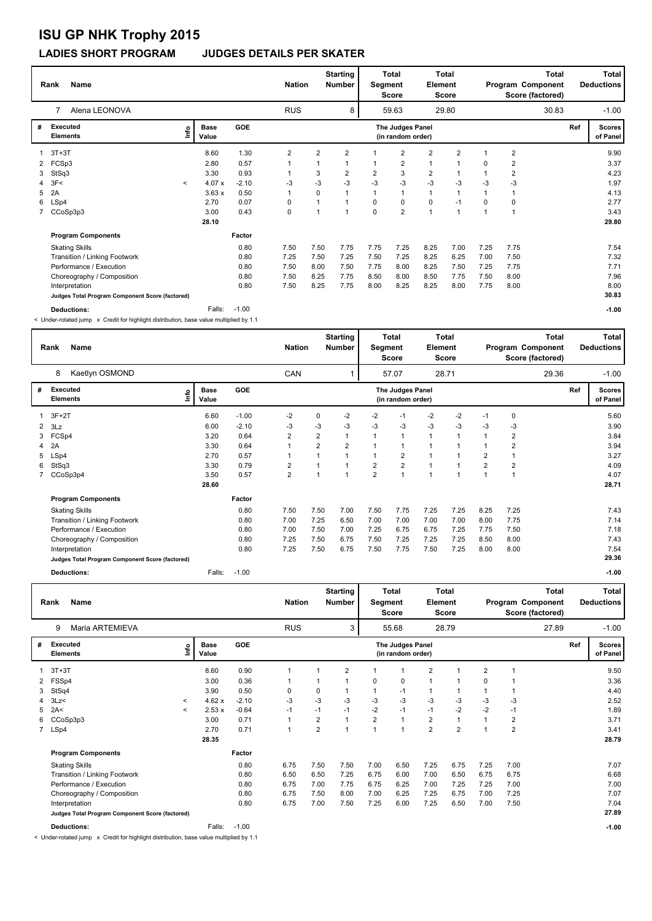### **LADIES SHORT PROGRAM JUDGES DETAILS PER SKATER**

|   | Name<br>Rank                                    |         |                      |         | <b>Nation</b> |                | <b>Starting</b><br><b>Number</b> | Segment        | <b>Total</b><br>Score                 | <b>Element</b> | <b>Total</b><br>Score |             |                | <b>Total</b><br>Program Component<br>Score (factored) |     | Total<br><b>Deductions</b> |
|---|-------------------------------------------------|---------|----------------------|---------|---------------|----------------|----------------------------------|----------------|---------------------------------------|----------------|-----------------------|-------------|----------------|-------------------------------------------------------|-----|----------------------------|
|   | Alena LEONOVA                                   |         |                      |         | <b>RUS</b>    |                | 8                                |                | 59.63                                 |                | 29.80                 |             |                | 30.83                                                 |     | $-1.00$                    |
| # | <b>Executed</b><br><b>Elements</b>              | lnfo    | <b>Base</b><br>Value | GOE     |               |                |                                  |                | The Judges Panel<br>(in random order) |                |                       |             |                |                                                       | Ref | <b>Scores</b><br>of Panel  |
|   | $3T+3T$                                         |         | 8.60                 | 1.30    | 2             | $\overline{2}$ | $\overline{2}$                   |                | $\overline{2}$                        | $\overline{2}$ | $\overline{2}$        |             | $\overline{2}$ |                                                       |     | 9.90                       |
|   | FCSp3                                           |         | 2.80                 | 0.57    | 1             |                | 1                                |                | 2                                     | $\mathbf{1}$   | 1                     | $\mathbf 0$ | 2              |                                                       |     | 3.37                       |
| 3 | StSq3                                           |         | 3.30                 | 0.93    | 1             | 3              | $\overline{2}$                   | $\overline{2}$ | 3                                     | $\overline{2}$ |                       |             | 2              |                                                       |     | 4.23                       |
|   | 4 3F<                                           | $\prec$ | 4.07x                | $-2.10$ | -3            | $-3$           | $-3$                             | $-3$           | $-3$                                  | $-3$           | $-3$                  | $-3$        | $-3$           |                                                       |     | 1.97                       |
| 5 | 2A                                              |         | 3.63x                | 0.50    | 1             | $\Omega$       | $\mathbf 1$                      |                | $\mathbf{1}$                          | $\mathbf{1}$   |                       |             |                |                                                       |     | 4.13                       |
| 6 | LSp4                                            |         | 2.70                 | 0.07    | 0             |                | $\mathbf 1$                      | $\Omega$       | 0                                     | 0              | $-1$                  | $\Omega$    | $\mathbf 0$    |                                                       |     | 2.77                       |
|   | 7 CCoSp3p3                                      |         | 3.00                 | 0.43    | 0             |                | $\mathbf{1}$                     | $\Omega$       | $\overline{2}$                        | $\overline{1}$ | $\overline{1}$        |             | $\overline{1}$ |                                                       |     | 3.43                       |
|   |                                                 |         | 28.10                |         |               |                |                                  |                |                                       |                |                       |             |                |                                                       |     | 29.80                      |
|   | <b>Program Components</b>                       |         |                      | Factor  |               |                |                                  |                |                                       |                |                       |             |                |                                                       |     |                            |
|   | <b>Skating Skills</b>                           |         |                      | 0.80    | 7.50          | 7.50           | 7.75                             | 7.75           | 7.25                                  | 8.25           | 7.00                  | 7.25        | 7.75           |                                                       |     | 7.54                       |
|   | Transition / Linking Footwork                   |         |                      | 0.80    | 7.25          | 7.50           | 7.25                             | 7.50           | 7.25                                  | 8.25           | 6.25                  | 7.00        | 7.50           |                                                       |     | 7.32                       |
|   | Performance / Execution                         |         |                      | 0.80    | 7.50          | 8.00           | 7.50                             | 7.75           | 8.00                                  | 8.25           | 7.50                  | 7.25        | 7.75           |                                                       |     | 7.71                       |
|   | Choreography / Composition                      |         |                      | 0.80    | 7.50          | 8.25           | 7.75                             | 8.50           | 8.00                                  | 8.50           | 7.75                  | 7.50        | 8.00           |                                                       |     | 7.96                       |
|   | Interpretation                                  |         |                      | 0.80    | 7.50          | 8.25           | 7.75                             | 8.00           | 8.25                                  | 8.25           | 8.00                  | 7.75        | 8.00           |                                                       |     | 8.00                       |
|   | Judges Total Program Component Score (factored) |         |                      |         |               |                |                                  |                |                                       |                |                       |             |                |                                                       |     | 30.83                      |
|   | <b>Deductions:</b>                              |         | Falls:               | $-1.00$ |               |                |                                  |                |                                       |                |                       |             |                |                                                       |     | $-1.00$                    |

< Under-rotated jump x Credit for highlight distribution, base value multiplied by 1.1

|                | <b>Name</b><br>Rank                             |                            |         | <b>Nation</b>  |                | <b>Starting</b><br>Number | Segment        | <b>Total</b><br><b>Score</b>          | Element      | Total<br><b>Score</b> |                |      | <b>Total</b><br>Program Component<br>Score (factored) |     | Total<br><b>Deductions</b> |
|----------------|-------------------------------------------------|----------------------------|---------|----------------|----------------|---------------------------|----------------|---------------------------------------|--------------|-----------------------|----------------|------|-------------------------------------------------------|-----|----------------------------|
|                | Kaetlyn OSMOND<br>8                             |                            |         | CAN            |                |                           |                | 57.07                                 |              | 28.71                 |                |      | 29.36                                                 |     | $-1.00$                    |
| #              | Executed<br><b>Elements</b>                     | <b>Base</b><br>۴ů<br>Value | GOE     |                |                |                           |                | The Judges Panel<br>(in random order) |              |                       |                |      |                                                       | Ref | <b>Scores</b><br>of Panel  |
|                | $3F+2T$                                         | 6.60                       | $-1.00$ | $-2$           | 0              | $-2$                      | $-2$           | $-1$                                  | $-2$         | $-2$                  | $-1$           | 0    |                                                       |     | 5.60                       |
| 2              | 3Lz                                             | 6.00                       | $-2.10$ | -3             | $-3$           | $-3$                      | $-3$           | $-3$                                  | $-3$         | $-3$                  | -3             | $-3$ |                                                       |     | 3.90                       |
|                | 3 FCSp4                                         | 3.20                       | 0.64    | $\overline{2}$ | $\overline{2}$ | $\mathbf{1}$              |                | $\overline{1}$                        | $\mathbf{1}$ |                       | -1             | 2    |                                                       |     | 3.84                       |
| $\overline{4}$ | 2A                                              | 3.30                       | 0.64    |                | $\overline{2}$ | $\overline{2}$            |                | 1                                     | $\mathbf{1}$ |                       |                | 2    |                                                       |     | 3.94                       |
| 5              | LSp4                                            | 2.70                       | 0.57    |                | 1              | $\mathbf{1}$              |                | $\overline{2}$                        | $\mathbf{1}$ |                       | $\overline{2}$ | 1    |                                                       |     | 3.27                       |
| 6              | StSq3                                           | 3.30                       | 0.79    | 2              |                | $\mathbf{1}$              | 2              | $\overline{2}$                        | $\mathbf{1}$ |                       | $\overline{2}$ | 2    |                                                       |     | 4.09                       |
|                | 7 CCoSp3p4                                      | 3.50                       | 0.57    | $\overline{2}$ | 1              | $\overline{1}$            | $\overline{2}$ | 1                                     | $\mathbf{1}$ |                       | 1              | 1    |                                                       |     | 4.07                       |
|                |                                                 | 28.60                      |         |                |                |                           |                |                                       |              |                       |                |      |                                                       |     | 28.71                      |
|                | <b>Program Components</b>                       |                            | Factor  |                |                |                           |                |                                       |              |                       |                |      |                                                       |     |                            |
|                | <b>Skating Skills</b>                           |                            | 0.80    | 7.50           | 7.50           | 7.00                      | 7.50           | 7.75                                  | 7.25         | 7.25                  | 8.25           | 7.25 |                                                       |     | 7.43                       |
|                | Transition / Linking Footwork                   |                            | 0.80    | 7.00           | 7.25           | 6.50                      | 7.00           | 7.00                                  | 7.00         | 7.00                  | 8.00           | 7.75 |                                                       |     | 7.14                       |
|                | Performance / Execution                         |                            | 0.80    | 7.00           | 7.50           | 7.00                      | 7.25           | 6.75                                  | 6.75         | 7.25                  | 7.75           | 7.50 |                                                       |     | 7.18                       |
|                | Choreography / Composition                      |                            | 0.80    | 7.25           | 7.50           | 6.75                      | 7.50           | 7.25                                  | 7.25         | 7.25                  | 8.50           | 8.00 |                                                       |     | 7.43                       |
|                | Interpretation                                  |                            | 0.80    | 7.25           | 7.50           | 6.75                      | 7.50           | 7.75                                  | 7.50         | 7.25                  | 8.00           | 8.00 |                                                       |     | 7.54                       |
|                | Judges Total Program Component Score (factored) |                            |         |                |                |                           |                |                                       |              |                       |                |      |                                                       |     | 29.36                      |
|                | <b>Deductions:</b>                              | Falls:                     | $-1.00$ |                |                |                           |                |                                       |              |                       |                |      |                                                       |     | $-1.00$                    |

|    | <b>Name</b><br>Rank                             |                          |                      |         | <b>Nation</b> |                         | <b>Starting</b><br><b>Number</b> | Segment        | Total<br><b>Score</b>                 | Element                 | <b>Total</b><br>Score |                |                | <b>Total</b><br>Program Component<br>Score (factored) |     | Total<br><b>Deductions</b> |
|----|-------------------------------------------------|--------------------------|----------------------|---------|---------------|-------------------------|----------------------------------|----------------|---------------------------------------|-------------------------|-----------------------|----------------|----------------|-------------------------------------------------------|-----|----------------------------|
|    | Maria ARTEMIEVA<br>9                            |                          |                      |         | <b>RUS</b>    |                         | 3                                |                | 55.68                                 |                         | 28.79                 |                |                | 27.89                                                 |     | $-1.00$                    |
| #  | <b>Executed</b><br><b>Elements</b>              | ۴٥                       | <b>Base</b><br>Value | GOE     |               |                         |                                  |                | The Judges Panel<br>(in random order) |                         |                       |                |                |                                                       | Ref | <b>Scores</b><br>of Panel  |
|    | $3T+3T$                                         |                          | 8.60                 | 0.90    |               |                         | $\overline{2}$                   |                |                                       | $\overline{2}$          |                       | $\overline{2}$ |                |                                                       |     | 9.50                       |
|    | 2 FSSp4                                         |                          | 3.00                 | 0.36    |               |                         |                                  | 0              | 0                                     | 1                       |                       | 0              |                |                                                       |     | 3.36                       |
| 3  | StSq4                                           |                          | 3.90                 | 0.50    | 0             | 0                       |                                  | 1              | $-1$                                  | 1                       |                       |                | 1              |                                                       |     | 4.40                       |
|    | $4$ 3Lz<                                        | $\prec$                  | 4.62x                | $-2.10$ | $-3$          | $-3$                    | $-3$                             | $-3$           | $-3$                                  | $-3$                    | -3                    | $-3$           | -3             |                                                       |     | 2.52                       |
| 5. | 2A<                                             | $\overline{\phantom{a}}$ | 2.53x                | $-0.64$ | $-1$          | $-1$                    | $-1$                             | $-2$           | $-1$                                  | $-1$                    | $-2$                  | $-2$           | $-1$           |                                                       |     | 1.89                       |
| 6  | CCoSp3p3                                        |                          | 3.00                 | 0.71    |               | 2                       |                                  | $\overline{2}$ | 1                                     | $\overline{\mathbf{c}}$ |                       |                | $\overline{2}$ |                                                       |     | 3.71                       |
|    | 7 LSp4                                          |                          | 2.70                 | 0.71    |               | $\overline{\mathbf{c}}$ |                                  | $\overline{ }$ | 1                                     | $\overline{2}$          | $\overline{2}$        |                | $\overline{2}$ |                                                       |     | 3.41                       |
|    |                                                 |                          | 28.35                |         |               |                         |                                  |                |                                       |                         |                       |                |                |                                                       |     | 28.79                      |
|    | <b>Program Components</b>                       |                          |                      | Factor  |               |                         |                                  |                |                                       |                         |                       |                |                |                                                       |     |                            |
|    | <b>Skating Skills</b>                           |                          |                      | 0.80    | 6.75          | 7.50                    | 7.50                             | 7.00           | 6.50                                  | 7.25                    | 6.75                  | 7.25           | 7.00           |                                                       |     | 7.07                       |
|    | Transition / Linking Footwork                   |                          |                      | 0.80    | 6.50          | 6.50                    | 7.25                             | 6.75           | 6.00                                  | 7.00                    | 6.50                  | 6.75           | 6.75           |                                                       |     | 6.68                       |
|    | Performance / Execution                         |                          |                      | 0.80    | 6.75          | 7.00                    | 7.75                             | 6.75           | 6.25                                  | 7.00                    | 7.25                  | 7.25           | 7.00           |                                                       |     | 7.00                       |
|    | Choreography / Composition                      |                          |                      | 0.80    | 6.75          | 7.50                    | 8.00                             | 7.00           | 6.25                                  | 7.25                    | 6.75                  | 7.00           | 7.25           |                                                       |     | 7.07                       |
|    | Interpretation                                  |                          |                      | 0.80    | 6.75          | 7.00                    | 7.50                             | 7.25           | 6.00                                  | 7.25                    | 6.50                  | 7.00           | 7.50           |                                                       |     | 7.04                       |
|    | Judges Total Program Component Score (factored) |                          |                      |         |               |                         |                                  |                |                                       |                         |                       |                |                |                                                       |     | 27.89                      |
|    | <b>Deductions:</b>                              |                          | Falls:               | $-1.00$ |               |                         |                                  |                |                                       |                         |                       |                |                |                                                       |     | $-1.00$                    |

< Under-rotated jump x Credit for highlight distribution, base value multiplied by 1.1